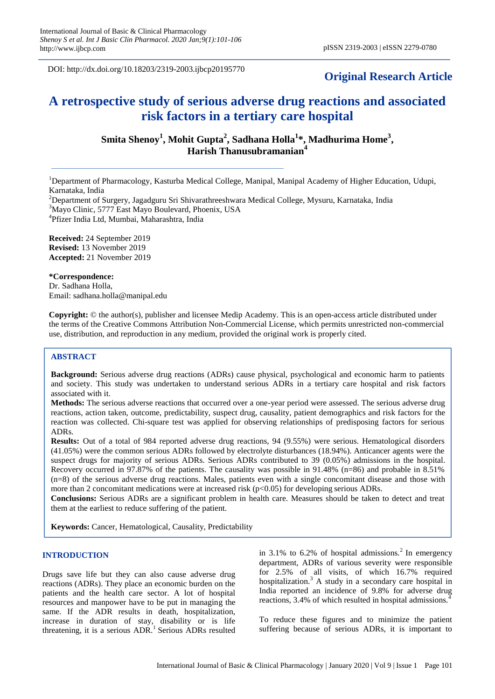DOI: http://dx.doi.org/10.18203/2319-2003.ijbcp20195770

# **Original Research Article**

# **A retrospective study of serious adverse drug reactions and associated risk factors in a tertiary care hospital**

**Smita Shenoy<sup>1</sup> , Mohit Gupta<sup>2</sup> , Sadhana Holla<sup>1</sup> \*, Madhurima Home<sup>3</sup> , Harish Thanusubramanian<sup>4</sup>**

<sup>1</sup>Department of Pharmacology, Kasturba Medical College, Manipal, Manipal Academy of Higher Education, Udupi, Karnataka, India

<sup>2</sup>Department of Surgery, Jagadguru Sri Shivarathreeshwara Medical College, Mysuru, Karnataka, India <sup>3</sup>Mayo Clinic, 5777 East Mayo Boulevard, Phoenix, USA

4 Pfizer India Ltd, Mumbai, Maharashtra, India

**Received:** 24 September 2019 **Revised:** 13 November 2019 **Accepted:** 21 November 2019

#### **\*Correspondence:**

Dr. Sadhana Holla, Email: sadhana.holla@manipal.edu

**Copyright:** © the author(s), publisher and licensee Medip Academy. This is an open-access article distributed under the terms of the Creative Commons Attribution Non-Commercial License, which permits unrestricted non-commercial use, distribution, and reproduction in any medium, provided the original work is properly cited.

#### **ABSTRACT**

**Background:** Serious adverse drug reactions (ADRs) cause physical, psychological and economic harm to patients and society. This study was undertaken to understand serious ADRs in a tertiary care hospital and risk factors associated with it.

**Methods:** The serious adverse reactions that occurred over a one-year period were assessed. The serious adverse drug reactions, action taken, outcome, predictability, suspect drug, causality, patient demographics and risk factors for the reaction was collected. Chi-square test was applied for observing relationships of predisposing factors for serious ADRs.

**Results:** Out of a total of 984 reported adverse drug reactions, 94 (9.55%) were serious. Hematological disorders (41.05%) were the common serious ADRs followed by electrolyte disturbances (18.94%). Anticancer agents were the suspect drugs for majority of serious ADRs. Serious ADRs contributed to 39 (0.05%) admissions in the hospital. Recovery occurred in 97.87% of the patients. The causality was possible in 91.48% (n=86) and probable in 8.51% (n=8) of the serious adverse drug reactions. Males, patients even with a single concomitant disease and those with more than 2 concomitant medications were at increased risk ( $p<0.05$ ) for developing serious ADRs.

**Conclusions:** Serious ADRs are a significant problem in health care. Measures should be taken to detect and treat them at the earliest to reduce suffering of the patient.

**Keywords:** Cancer, Hematological, Causality, Predictability

# **INTRODUCTION**

Drugs save life but they can also cause adverse drug reactions (ADRs). They place an economic burden on the patients and the health care sector. A lot of hospital resources and manpower have to be put in managing the same. If the ADR results in death, hospitalization, increase in duration of stay, disability or is life threatening, it is a serious  $ADR$ <sup>1</sup> Serious  $ADRs$  resulted in 3.1% to 6.2% of hospital admissions.<sup>2</sup> In emergency department, ADRs of various severity were responsible for 2.5% of all visits, of which 16.7% required hospitalization.<sup>3</sup> A study in a secondary care hospital in India reported an incidence of 9.8% for adverse drug reactions, 3.4% of which resulted in hospital admissions.

To reduce these figures and to minimize the patient suffering because of serious ADRs, it is important to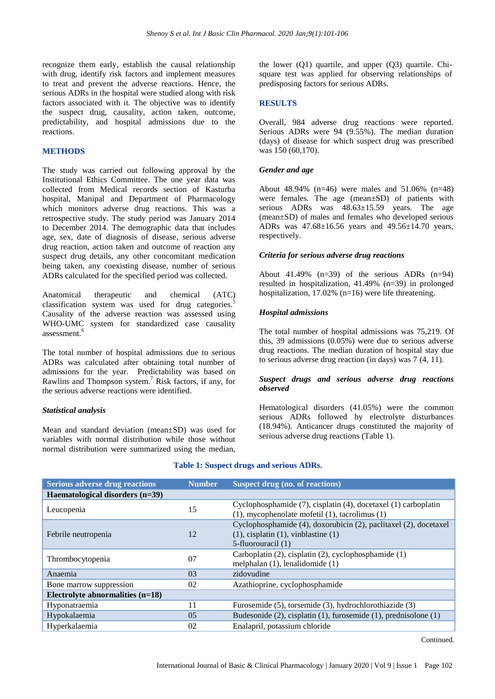recognize them early, establish the causal relationship with drug, identify risk factors and implement measures to treat and prevent the adverse reactions. Hence, the serious ADRs in the hospital were studied along with risk factors associated with it. The objective was to identify the suspect drug, causality, action taken, outcome, predictability, and hospital admissions due to the reactions.

#### **METHODS**

The study was carried out following approval by the Institutional Ethics Committee. The one year data was collected from Medical records section of Kasturba hospital, Manipal and Department of Pharmacology which monitors adverse drug reactions. This was a retrospective study. The study period was January 2014 to December 2014. The demographic data that includes age, sex, date of diagnosis of disease, serious adverse drug reaction, action taken and outcome of reaction any suspect drug details, any other concomitant medication being taken, any coexisting disease, number of serious ADRs calculated for the specified period was collected.

Anatomical therapeutic and chemical (ATC) classification system was used for drug categories.<sup>5</sup> Causality of the adverse reaction was assessed using WHO-UMC system for standardized case causality assessment.<sup>6</sup>

The total number of hospital admissions due to serious ADRs was calculated after obtaining total number of admissions for the year. Predictability was based on Rawlins and Thompson system.<sup>7</sup> Risk factors, if any, for the serious adverse reactions were identified.

#### *Statistical analysis*

Mean and standard deviation (mean±SD) was used for variables with normal distribution while those without normal distribution were summarized using the median,

the lower (Q1) quartile, and upper (Q3) quartile. Chisquare test was applied for observing relationships of predisposing factors for serious ADRs.

#### **RESULTS**

Overall, 984 adverse drug reactions were reported. Serious ADRs were 94 (9.55%). The median duration (days) of disease for which suspect drug was prescribed was 150 (60,170).

#### *Gender and age*

About 48.94% (n=46) were males and 51.06% (n=48) were females. The age (mean±SD) of patients with serious ADRs was 48.63±15.59 years. The age (mean±SD) of males and females who developed serious ADRs was 47.68±16.56 years and 49.56±14.70 years, respectively.

#### *Criteria for serious adverse drug reactions*

About 41.49%  $(n=39)$  of the serious ADRs  $(n=94)$ resulted in hospitalization, 41.49% (n=39) in prolonged hospitalization, 17.02% (n=16) were life threatening.

### *Hospital admissions*

The total number of hospital admissions was 75,219. Of this, 39 admissions (0.05%) were due to serious adverse drug reactions. The median duration of hospital stay due to serious adverse drug reaction (in days) was 7 (4, 11).

#### *Suspect drugs and serious adverse drug reactions observed*

Hematological disorders (41.05%) were the common serious ADRs followed by electrolyte disturbances (18.94%). Anticancer drugs constituted the majority of serious adverse drug reactions (Table 1).

| <b>Serious adverse drug reactions</b> | <b>Number</b> | <b>Suspect drug (no. of reactions)</b>                                                                                                |  |
|---------------------------------------|---------------|---------------------------------------------------------------------------------------------------------------------------------------|--|
| Haematological disorders (n=39)       |               |                                                                                                                                       |  |
| Leucopenia                            | 15            | Cyclophosphamide (7), cisplatin (4), docetaxel (1) carboplatin<br>$(1)$ , mycophenolate mofetil $(1)$ , tacrolimus $(1)$              |  |
| Febrile neutropenia                   | 12            | Cyclophosphamide (4), doxorubicin (2), paclitaxel (2), docetaxel<br>$(1)$ , cisplatin $(1)$ , vinblastine $(1)$<br>5-fluorouracil (1) |  |
| Thrombocytopenia                      | 07            | Carboplatin (2), cisplatin (2), cyclophosphamide (1)<br>melphalan (1), lenalidomide (1)                                               |  |
| Anaemia                               | 03            | zidovudine                                                                                                                            |  |
| Bone marrow suppression               | 02            | Azathioprine, cyclophosphamide                                                                                                        |  |
| Electrolyte abnormalities (n=18)      |               |                                                                                                                                       |  |
| Hyponatraemia                         | 11            | Furosemide (5), torsemide (3), hydrochlorothiazide (3)                                                                                |  |
| Hypokalaemia                          | 0.5           | Budesonide $(2)$ , cisplatin $(1)$ , furosemide $(1)$ , prednisolone $(1)$                                                            |  |
| Hyperkalaemia                         | 02            | Enalapril, potassium chloride                                                                                                         |  |

#### **Table 1: Suspect drugs and serious ADRs.**

Continued.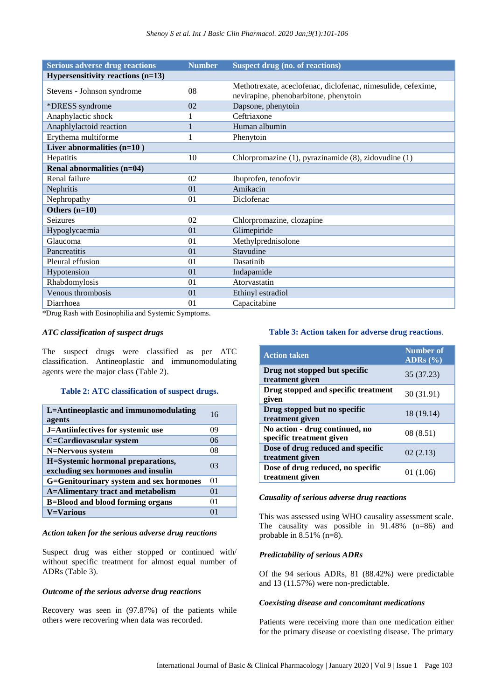| <b>Serious adverse drug reactions</b> | <b>Number</b> | <b>Suspect drug (no. of reactions)</b>                                                                |
|---------------------------------------|---------------|-------------------------------------------------------------------------------------------------------|
| Hypersensitivity reactions $(n=13)$   |               |                                                                                                       |
| Stevens - Johnson syndrome            | 08            | Methotrexate, aceclofenac, diclofenac, nimesulide, cefexime,<br>nevirapine, phenobarbitone, phenytoin |
| *DRESS syndrome                       | 02            | Dapsone, phenytoin                                                                                    |
| Anaphylactic shock                    | 1             | Ceftriaxone                                                                                           |
| Anaphlylactoid reaction               | 1             | Human albumin                                                                                         |
| Erythema multiforme                   | 1             | Phenytoin                                                                                             |
| Liver abnormalities $(n=10)$          |               |                                                                                                       |
| Hepatitis                             | 10            | Chlorpromazine (1), pyrazinamide (8), zidovudine (1)                                                  |
| Renal abnormalities (n=04)            |               |                                                                                                       |
| Renal failure                         | 02            | Ibuprofen, tenofovir                                                                                  |
| Nephritis                             | 01            | Amikacin                                                                                              |
| Nephropathy                           | 01            | Diclofenac                                                                                            |
| Others $(n=10)$                       |               |                                                                                                       |
| Seizures                              | 02            | Chlorpromazine, clozapine                                                                             |
| Hypoglycaemia                         | 01            | Glimepiride                                                                                           |
| Glaucoma                              | 01            | Methylprednisolone                                                                                    |
| Pancreatitis                          | 01            | Stavudine                                                                                             |
| Pleural effusion                      | 01            | Dasatinib                                                                                             |
| Hypotension                           | 01            | Indapamide                                                                                            |
| Rhabdomylosis                         | 01            | Atorvastatin                                                                                          |
| Venous thrombosis                     | 01            | Ethinyl estradiol                                                                                     |
| Diarrhoea                             | 01            | Capacitabine                                                                                          |

\*Drug Rash with Eosinophilia and Systemic Symptoms.

#### *ATC classification of suspect drugs*

The suspect drugs were classified as per ATC classification. Antineoplastic and immunomodulating agents were the major class (Table 2).

#### **Table 2: ATC classification of suspect drugs.**

| L=Antineoplastic and immunomodulating<br>agents                         | 16             |
|-------------------------------------------------------------------------|----------------|
| J=Antiinfectives for systemic use                                       | 09             |
| C=Cardiovascular system                                                 | 06             |
| N=Nervous system                                                        | 08             |
| H=Systemic hormonal preparations,<br>excluding sex hormones and insulin | 0 <sup>3</sup> |
| G=Genitourinary system and sex hormones                                 | 0 <sup>1</sup> |
| <b>A=Alimentary tract and metabolism</b>                                | 01             |
| <b>B=Blood and blood forming organs</b>                                 | 01             |
| <b>V=Various</b>                                                        | $^{01}$        |

#### *Action taken for the serious adverse drug reactions*

Suspect drug was either stopped or continued with/ without specific treatment for almost equal number of ADRs (Table 3).

#### *Outcome of the serious adverse drug reactions*

Recovery was seen in (97.87%) of the patients while others were recovering when data was recorded.

#### **Table 3: Action taken for adverse drug reactions**.

| <b>Action taken</b>                                        | <b>Number of</b><br>$\overline{\text{ADRs}(\%)}$ |
|------------------------------------------------------------|--------------------------------------------------|
| Drug not stopped but specific<br>treatment given           | 35 (37.23)                                       |
| Drug stopped and specific treatment<br>given               | 30 (31.91)                                       |
| Drug stopped but no specific<br>treatment given            | 18 (19.14)                                       |
| No action - drug continued, no<br>specific treatment given | 08 (8.51)                                        |
| Dose of drug reduced and specific<br>treatment given       | 02(2.13)                                         |
| Dose of drug reduced, no specific<br>treatment given       | 01 (1.06)                                        |

#### *Causality of serious adverse drug reactions*

This was assessed using WHO causality assessment scale. The causality was possible in 91.48% (n=86) and probable in  $8.51\%$  (n=8).

### *Predictability of serious ADRs*

Of the 94 serious ADRs, 81 (88.42%) were predictable and 13 (11.57%) were non-predictable.

#### *Coexisting disease and concomitant medications*

Patients were receiving more than one medication either for the primary disease or coexisting disease. The primary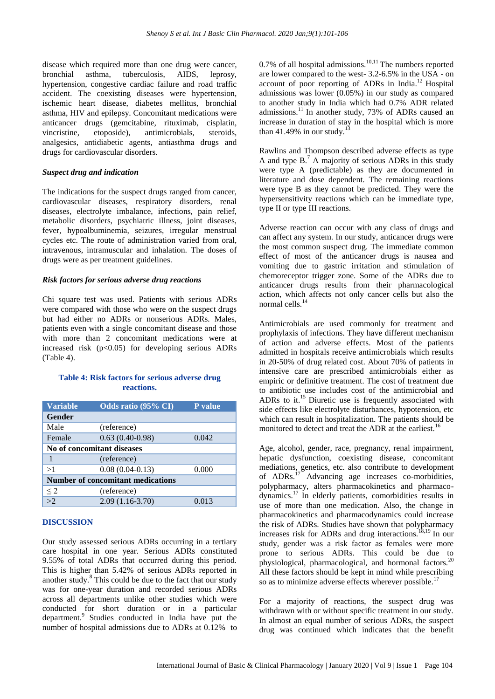disease which required more than one drug were cancer, bronchial asthma, tuberculosis, AIDS, leprosy, hypertension, congestive cardiac failure and road traffic accident. The coexisting diseases were hypertension, ischemic heart disease, diabetes mellitus, bronchial asthma, HIV and epilepsy. Concomitant medications were anticancer drugs (gemcitabine, rituximab, cisplatin, vincristine, etoposide), antimicrobials, steroids, analgesics, antidiabetic agents, antiasthma drugs and drugs for cardiovascular disorders.

#### *Suspect drug and indication*

The indications for the suspect drugs ranged from cancer, cardiovascular diseases, respiratory disorders, renal diseases, electrolyte imbalance, infections, pain relief, metabolic disorders, psychiatric illness, joint diseases, fever, hypoalbuminemia, seizures, irregular menstrual cycles etc. The route of administration varied from oral, intravenous, intramuscular and inhalation. The doses of drugs were as per treatment guidelines.

#### *Risk factors for serious adverse drug reactions*

Chi square test was used. Patients with serious ADRs were compared with those who were on the suspect drugs but had either no ADRs or nonserious ADRs. Males, patients even with a single concomitant disease and those with more than 2 concomitant medications were at increased risk  $(p<0.05)$  for developing serious ADRs (Table 4).

# **Table 4: Risk factors for serious adverse drug reactions.**

| <b>Variable</b>                          | Odds ratio (95% CI) | P value |  |  |
|------------------------------------------|---------------------|---------|--|--|
| Gender                                   |                     |         |  |  |
| Male                                     | (reference)         |         |  |  |
| Female                                   | $0.63(0.40-0.98)$   | 0.042   |  |  |
| No of concomitant diseases               |                     |         |  |  |
| 1                                        | (reference)         |         |  |  |
| >1                                       | $0.08(0.04-0.13)$   | 0.000   |  |  |
| <b>Number of concomitant medications</b> |                     |         |  |  |
| $\leq$ 2                                 | (reference)         |         |  |  |
| $\overline{>2}$                          | $2.09(1.16-3.70)$   | 0.013   |  |  |

## **DISCUSSION**

Our study assessed serious ADRs occurring in a tertiary care hospital in one year. Serious ADRs constituted 9.55% of total ADRs that occurred during this period. This is higher than 5.42% of serious ADRs reported in another study.<sup>8</sup> This could be due to the fact that our study was for one-year duration and recorded serious ADRs across all departments unlike other studies which were conducted for short duration or in a particular department.<sup>9</sup> Studies conducted in India have put the number of hospital admissions due to ADRs at 0.12% to

 $0.7\%$  of all hospital admissions.<sup>10,11</sup> The numbers reported are lower compared to the west- 3.2-6.5% in the USA - on account of poor reporting of ADRs in India.<sup>12</sup> Hospital admissions was lower (0.05%) in our study as compared to another study in India which had 0.7% ADR related admissions.<sup>11</sup> In another study, 73% of ADRs caused an increase in duration of stay in the hospital which is more than 41.49% in our study.<sup>1</sup>

Rawlins and Thompson described adverse effects as type A and type  $B<sup>7</sup>$  A majority of serious ADRs in this study were type A (predictable) as they are documented in literature and dose dependent. The remaining reactions were type B as they cannot be predicted. They were the hypersensitivity reactions which can be immediate type, type II or type III reactions.

Adverse reaction can occur with any class of drugs and can affect any system. In our study, anticancer drugs were the most common suspect drug. The immediate common effect of most of the anticancer drugs is nausea and vomiting due to gastric irritation and stimulation of chemoreceptor trigger zone. Some of the ADRs due to anticancer drugs results from their pharmacological action, which affects not only cancer cells but also the normal cells. $14$ 

Antimicrobials are used commonly for treatment and prophylaxis of infections. They have different mechanism of action and adverse effects. Most of the patients admitted in hospitals receive antimicrobials which results in 20-50% of drug related cost. About 70% of patients in intensive care are prescribed antimicrobials either as empiric or definitive treatment. The cost of treatment due to antibiotic use includes cost of the antimicrobial and ADRs to it.<sup>15</sup> Diuretic use is frequently associated with side effects like electrolyte disturbances, hypotension, etc which can result in hospitalization. The patients should be monitored to detect and treat the ADR at the earliest.<sup>16</sup>

Age, alcohol, gender, race, pregnancy, renal impairment, hepatic dysfunction, coexisting disease, concomitant mediations, genetics, etc. also contribute to development of ADRs.<sup>17</sup> Advancing age increases co-morbidities, polypharmacy, alters pharmacokinetics and pharmacodynamics.<sup>17</sup> In elderly patients, comorbidities results in use of more than one medication. Also, the change in pharmacokinetics and pharmacodynamics could increase the risk of ADRs. Studies have shown that polypharmacy increases risk for ADRs and drug interactions.18,19 In our study, gender was a risk factor as females were more prone to serious ADRs. This could be due to physiological, pharmacological, and hormonal factors.<sup>20</sup> All these factors should be kept in mind while prescribing so as to minimize adverse effects wherever possible.<sup>17</sup>

For a majority of reactions, the suspect drug was withdrawn with or without specific treatment in our study. In almost an equal number of serious ADRs, the suspect drug was continued which indicates that the benefit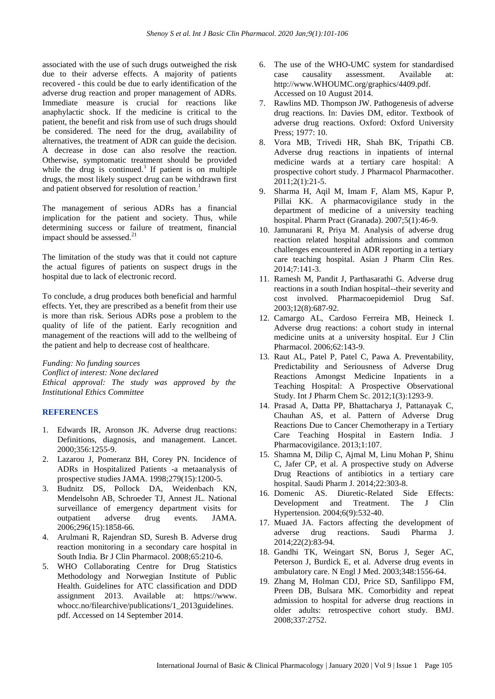associated with the use of such drugs outweighed the risk due to their adverse effects. A majority of patients recovered - this could be due to early identification of the adverse drug reaction and proper management of ADRs. Immediate measure is crucial for reactions like anaphylactic shock. If the medicine is critical to the patient, the benefit and risk from use of such drugs should be considered. The need for the drug, availability of alternatives, the treatment of ADR can guide the decision. A decrease in dose can also resolve the reaction. Otherwise, symptomatic treatment should be provided while the drug is continued.<sup>1</sup> If patient is on multiple drugs, the most likely suspect drug can be withdrawn first and patient observed for resolution of reaction.<sup>1</sup>

The management of serious ADRs has a financial implication for the patient and society. Thus, while determining success or failure of treatment, financial impact should be assessed.<sup>21</sup>

The limitation of the study was that it could not capture the actual figures of patients on suspect drugs in the hospital due to lack of electronic record.

To conclude, a drug produces both beneficial and harmful effects. Yet, they are prescribed as a benefit from their use is more than risk. Serious ADRs pose a problem to the quality of life of the patient. Early recognition and management of the reactions will add to the wellbeing of the patient and help to decrease cost of healthcare.

*Funding: No funding sources Conflict of interest: None declared Ethical approval: The study was approved by the Institutional Ethics Committee*

# **REFERENCES**

- 1. Edwards IR, Aronson JK. Adverse drug reactions: Definitions, diagnosis, and management. Lancet. 2000;356:1255-9.
- 2. Lazarou J, Pomeranz BH, Corey PN. Incidence of ADRs in Hospitalized Patients -a metaanalysis of prospective studies JAMA. 1998;279(15):1200-5.
- 3. Budnitz DS, Pollock DA, Weidenbach KN, Mendelsohn AB, Schroeder TJ, Annest JL. National surveillance of emergency department visits for outpatient adverse drug events. JAMA. 2006;296(15):1858-66.
- 4. Arulmani R, Rajendran SD, Suresh B. Adverse drug reaction monitoring in a secondary care hospital in South India. Br J Clin Pharmacol. 2008;65:210-6.
- 5. WHO Collaborating Centre for Drug Statistics Methodology and Norwegian Institute of Public Health. Guidelines for ATC classification and DDD assignment 2013. Available at: https://www. whocc.no/filearchive/publications/1\_2013guidelines. pdf. Accessed on 14 September 2014.
- 6. The use of the WHO-UMC system for standardised case causality assessment. Available at: http://www.WHOUMC.org/graphics/4409.pdf. Accessed on 10 August 2014.
- 7. Rawlins MD. Thompson JW. Pathogenesis of adverse drug reactions. In: Davies DM, editor. Textbook of adverse drug reactions. Oxford: Oxford University Press; 1977: 10.
- 8. Vora MB, Trivedi HR, Shah BK, Tripathi CB. Adverse drug reactions in inpatients of internal medicine wards at a tertiary care hospital: A prospective cohort study. J Pharmacol Pharmacother. 2011;2(1):21-5.
- 9. Sharma H, Aqil M, Imam F, Alam MS, Kapur P, Pillai KK. A pharmacovigilance study in the department of medicine of a university teaching hospital. Pharm Pract (Granada). 2007;5(1):46-9.
- 10. Jamunarani R, Priya M. Analysis of adverse drug reaction related hospital admissions and common challenges encountered in ADR reporting in a tertiary care teaching hospital. Asian J Pharm Clin Res. 2014;7:141-3.
- 11. Ramesh M, Pandit J, Parthasarathi G. Adverse drug reactions in a south Indian hospital--their severity and cost involved. Pharmacoepidemiol Drug Saf. 2003;12(8):687-92.
- 12. Camargo AL, Cardoso Ferreira MB, Heineck I. Adverse drug reactions: a cohort study in internal medicine units at a university hospital. Eur J Clin Pharmacol. 2006;62:143-9.
- 13. Raut AL, Patel P, Patel C, Pawa A. Preventability, Predictability and Seriousness of Adverse Drug Reactions Amongst Medicine Inpatients in a Teaching Hospital: A Prospective Observational Study. Int J Pharm Chem Sc. 2012;1(3):1293-9.
- 14. Prasad A, Datta PP, Bhattacharya J, Pattanayak C, Chauhan AS, et al. Pattern of Adverse Drug Reactions Due to Cancer Chemotherapy in a Tertiary Care Teaching Hospital in Eastern India. J Pharmacovigilance. 2013;1:107.
- 15. Shamna M, Dilip C, Ajmal M, Linu Mohan P, Shinu C, Jafer CP, et al. A prospective study on Adverse Drug Reactions of antibiotics in a tertiary care hospital. Saudi Pharm J. 2014;22:303-8.
- 16. Domenic AS. Diuretic-Related Side Effects: Development and Treatment. The J Clin Hypertension. 2004;6(9):532-40.
- 17. Muaed JA. Factors affecting the development of adverse drug reactions. Saudi Pharma J. 2014;22(2):83-94.
- 18. Gandhi TK, Weingart SN, Borus J, Seger AC, Peterson J, Burdick E, et al. Adverse drug events in ambulatory care. N Engl J Med. 2003;348:1556-64.
- 19. Zhang M, Holman CDJ, Price SD, Sanfilippo FM, Preen DB, Bulsara MK. Comorbidity and repeat admission to hospital for adverse drug reactions in older adults: retrospective cohort study. BMJ. 2008;337:2752.